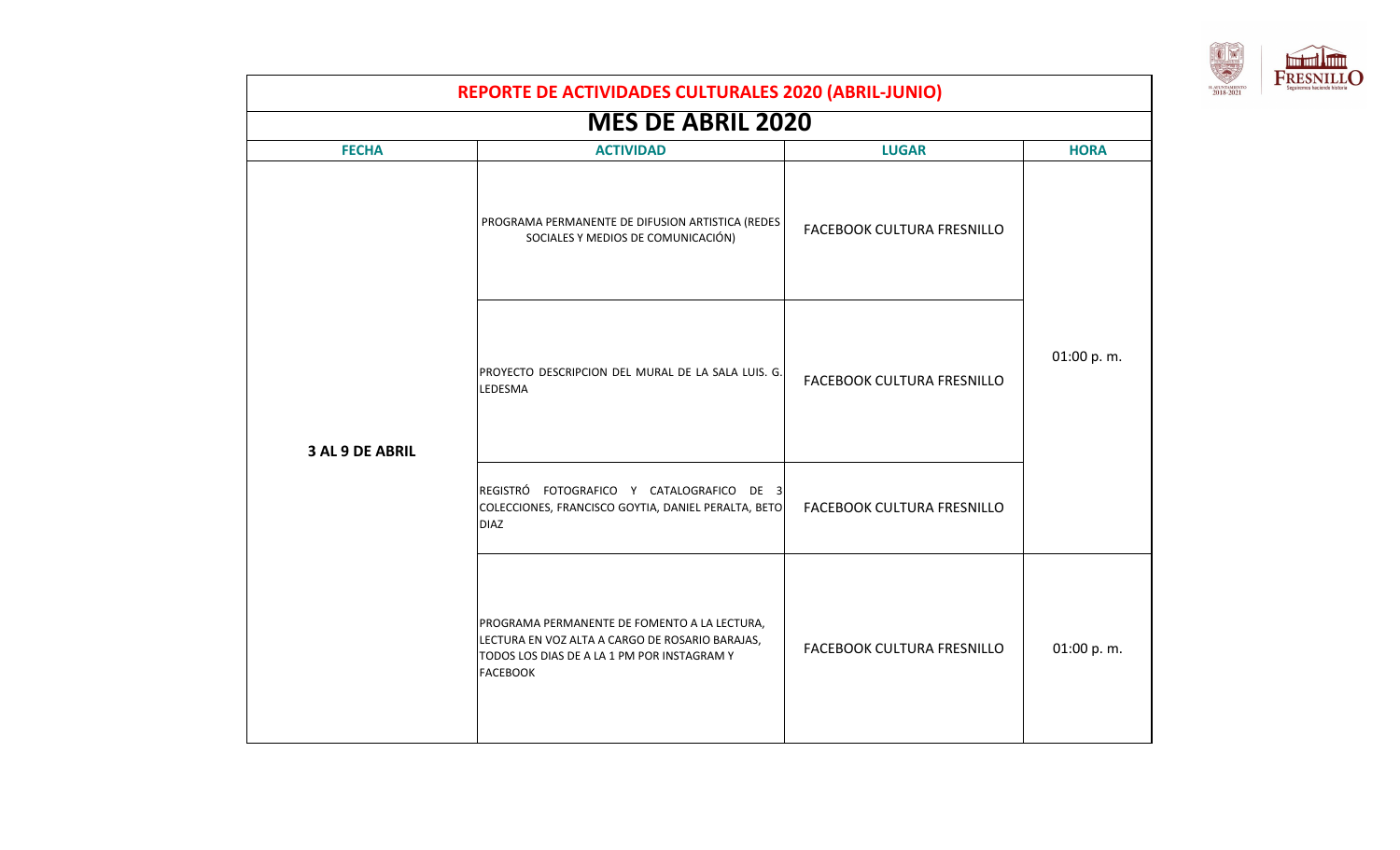

|                 | REPORTE DE ACTIVIDADES CULTURALES 2020 (ABRIL-JUNIO)                                                                                                              |                            |             |  |
|-----------------|-------------------------------------------------------------------------------------------------------------------------------------------------------------------|----------------------------|-------------|--|
|                 | <b>MES DE ABRIL 2020</b>                                                                                                                                          |                            |             |  |
| <b>FECHA</b>    | <b>ACTIVIDAD</b>                                                                                                                                                  | <b>LUGAR</b>               | <b>HORA</b> |  |
|                 | PROGRAMA PERMANENTE DE DIFUSION ARTISTICA (REDES<br>SOCIALES Y MEDIOS DE COMUNICACIÓN)                                                                            | FACEBOOK CULTURA FRESNILLO |             |  |
| 3 AL 9 DE ABRIL | PROYECTO DESCRIPCION DEL MURAL DE LA SALA LUIS. G.<br>LEDESMA                                                                                                     | FACEBOOK CULTURA FRESNILLO | 01:00 p.m.  |  |
|                 | REGISTRÓ FOTOGRAFICO Y CATALOGRAFICO DE 3<br>COLECCIONES, FRANCISCO GOYTIA, DANIEL PERALTA, BETO<br><b>DIAZ</b>                                                   | FACEBOOK CULTURA FRESNILLO |             |  |
|                 | PROGRAMA PERMANENTE DE FOMENTO A LA LECTURA,<br>LECTURA EN VOZ ALTA A CARGO DE ROSARIO BARAJAS,<br>TODOS LOS DIAS DE A LA 1 PM POR INSTAGRAM Y<br><b>FACEBOOK</b> | FACEBOOK CULTURA FRESNILLO | 01:00 p.m.  |  |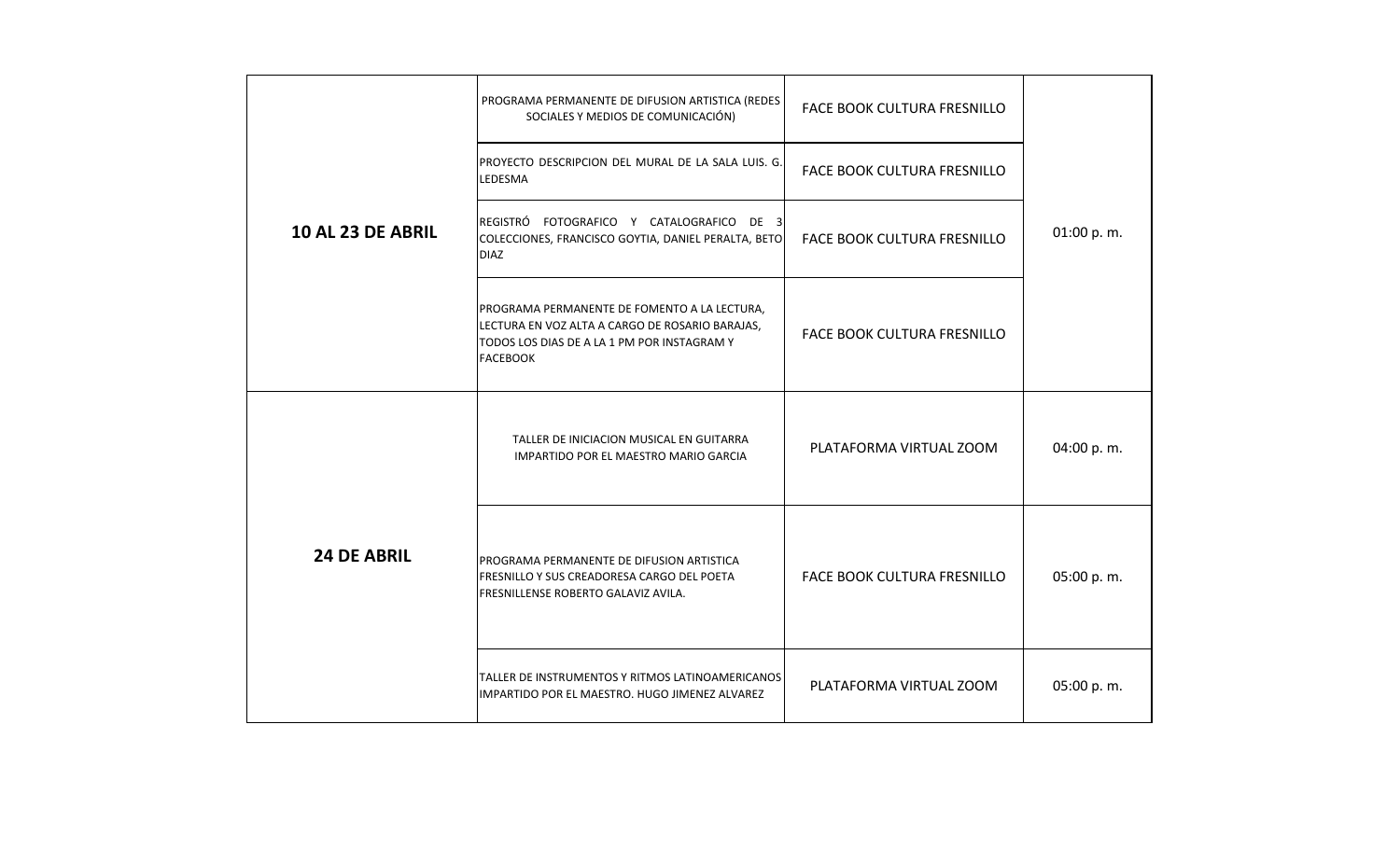|                    | PROGRAMA PERMANENTE DE DIFUSION ARTISTICA (REDES<br>SOCIALES Y MEDIOS DE COMUNICACIÓN)                                                                            | FACE BOOK CULTURA FRESNILLO |            |
|--------------------|-------------------------------------------------------------------------------------------------------------------------------------------------------------------|-----------------------------|------------|
|                    | PROYECTO DESCRIPCION DEL MURAL DE LA SALA LUIS. G.<br>LEDESMA                                                                                                     | FACE BOOK CULTURA FRESNILLO |            |
| 10 AL 23 DE ABRIL  | REGISTRÓ FOTOGRAFICO Y CATALOGRAFICO DE 3<br>COLECCIONES, FRANCISCO GOYTIA, DANIEL PERALTA, BETO<br><b>DIAZ</b>                                                   | FACE BOOK CULTURA FRESNILLO | 01:00 p.m. |
|                    | PROGRAMA PERMANENTE DE FOMENTO A LA LECTURA,<br>LECTURA EN VOZ ALTA A CARGO DE ROSARIO BARAJAS,<br>TODOS LOS DIAS DE A LA 1 PM POR INSTAGRAM Y<br><b>FACEBOOK</b> | FACE BOOK CULTURA FRESNILLO |            |
|                    | TALLER DE INICIACION MUSICAL EN GUITARRA<br>IMPARTIDO POR EL MAESTRO MARIO GARCIA                                                                                 | PLATAFORMA VIRTUAL ZOOM     | 04:00 p.m. |
| <b>24 DE ABRIL</b> | PROGRAMA PERMANENTE DE DIFUSION ARTISTICA<br>FRESNILLO Y SUS CREADORESA CARGO DEL POETA<br>FRESNILLENSE ROBERTO GALAVIZ AVILA.                                    | FACE BOOK CULTURA FRESNILLO | 05:00 p.m. |
|                    | TALLER DE INSTRUMENTOS Y RITMOS LATINOAMERICANOS<br>IMPARTIDO POR EL MAESTRO. HUGO JIMENEZ ALVAREZ                                                                | PLATAFORMA VIRTUAL ZOOM     | 05:00 p.m. |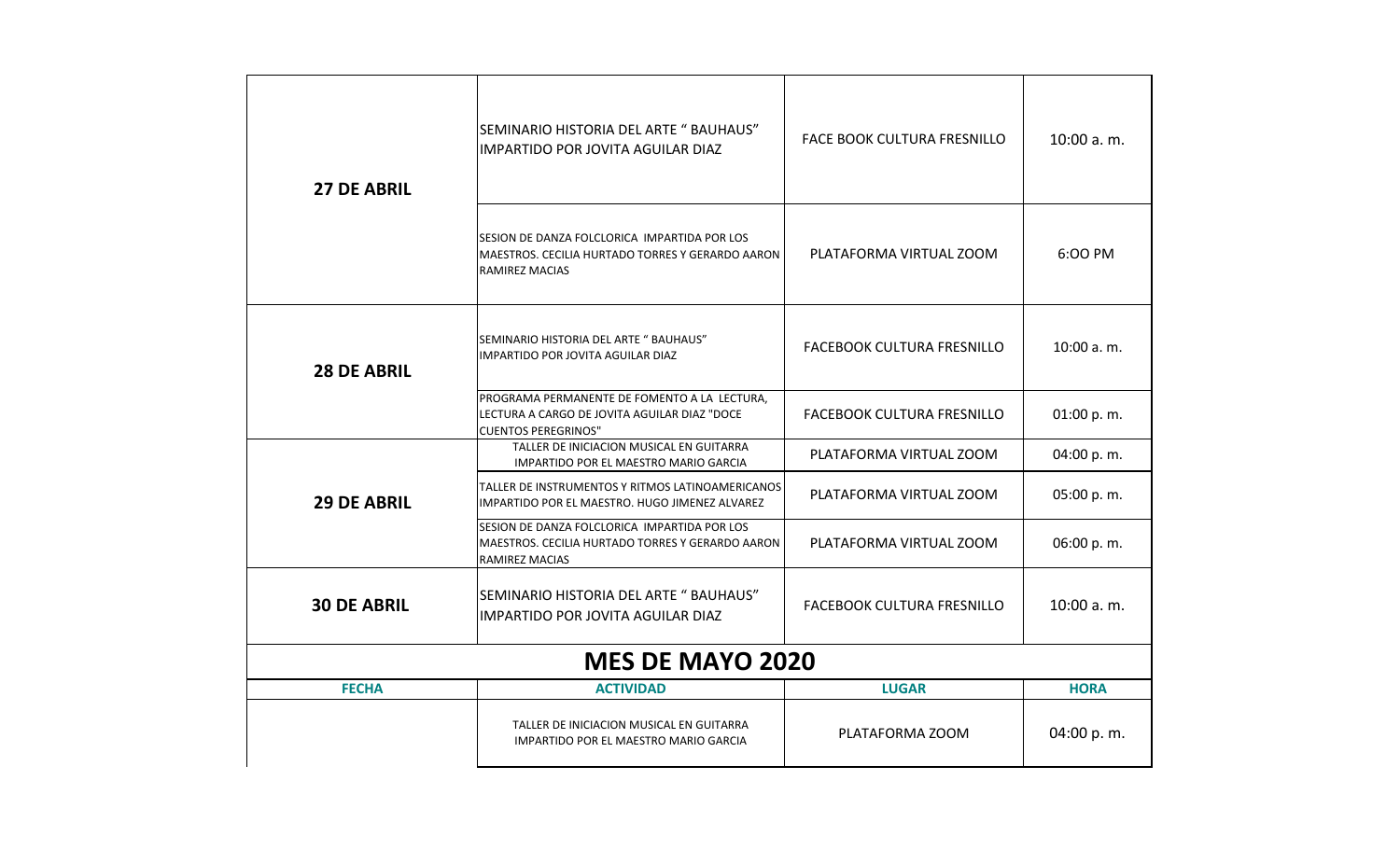| <b>27 DE ABRIL</b> | SEMINARIO HISTORIA DEL ARTE " BAUHAUS"<br><b>IMPARTIDO POR JOVITA AGUILAR DIAZ</b>                                         | FACE BOOK CULTURA FRESNILLO       | 10:00 a.m.  |
|--------------------|----------------------------------------------------------------------------------------------------------------------------|-----------------------------------|-------------|
|                    | SESION DE DANZA FOLCLORICA IMPARTIDA POR LOS<br>MAESTROS. CECILIA HURTADO TORRES Y GERARDO AARON<br><b>RAMIREZ MACIAS</b>  | PLATAFORMA VIRTUAL ZOOM           | 6:00 PM     |
| <b>28 DE ABRIL</b> | SEMINARIO HISTORIA DEL ARTE " BAUHAUS"<br>IMPARTIDO POR JOVITA AGUILAR DIAZ                                                | <b>FACEBOOK CULTURA FRESNILLO</b> | 10:00 a.m.  |
|                    | PROGRAMA PERMANENTE DE FOMENTO A LA LECTURA,<br>LECTURA A CARGO DE JOVITA AGUILAR DIAZ "DOCE<br><b>CUENTOS PEREGRINOS"</b> | <b>FACEBOOK CULTURA FRESNILLO</b> | 01:00 p.m.  |
|                    | TALLER DE INICIACION MUSICAL EN GUITARRA<br>IMPARTIDO POR EL MAESTRO MARIO GARCIA                                          | PLATAFORMA VIRTUAL ZOOM           | 04:00 p.m.  |
| <b>29 DE ABRIL</b> | TALLER DE INSTRUMENTOS Y RITMOS LATINOAMERICANOS<br>IMPARTIDO POR EL MAESTRO. HUGO JIMENEZ ALVAREZ                         | PLATAFORMA VIRTUAL ZOOM           | 05:00 p.m.  |
|                    | SESION DE DANZA FOLCLORICA IMPARTIDA POR LOS<br>MAESTROS. CECILIA HURTADO TORRES Y GERARDO AARON<br><b>RAMIREZ MACIAS</b>  | PLATAFORMA VIRTUAL ZOOM           | 06:00 p.m.  |
| <b>30 DE ABRIL</b> | SEMINARIO HISTORIA DEL ARTE " BAUHAUS"<br>IMPARTIDO POR JOVITA AGUILAR DIAZ                                                | <b>FACEBOOK CULTURA FRESNILLO</b> | 10:00 a.m.  |
|                    | <b>MES DE MAYO 2020</b>                                                                                                    |                                   |             |
| <b>FECHA</b>       | <b>ACTIVIDAD</b>                                                                                                           | <b>LUGAR</b>                      | <b>HORA</b> |
|                    | TALLER DE INICIACION MUSICAL EN GUITARRA<br>IMPARTIDO POR EL MAESTRO MARIO GARCIA                                          | PLATAFORMA ZOOM                   | 04:00 p.m.  |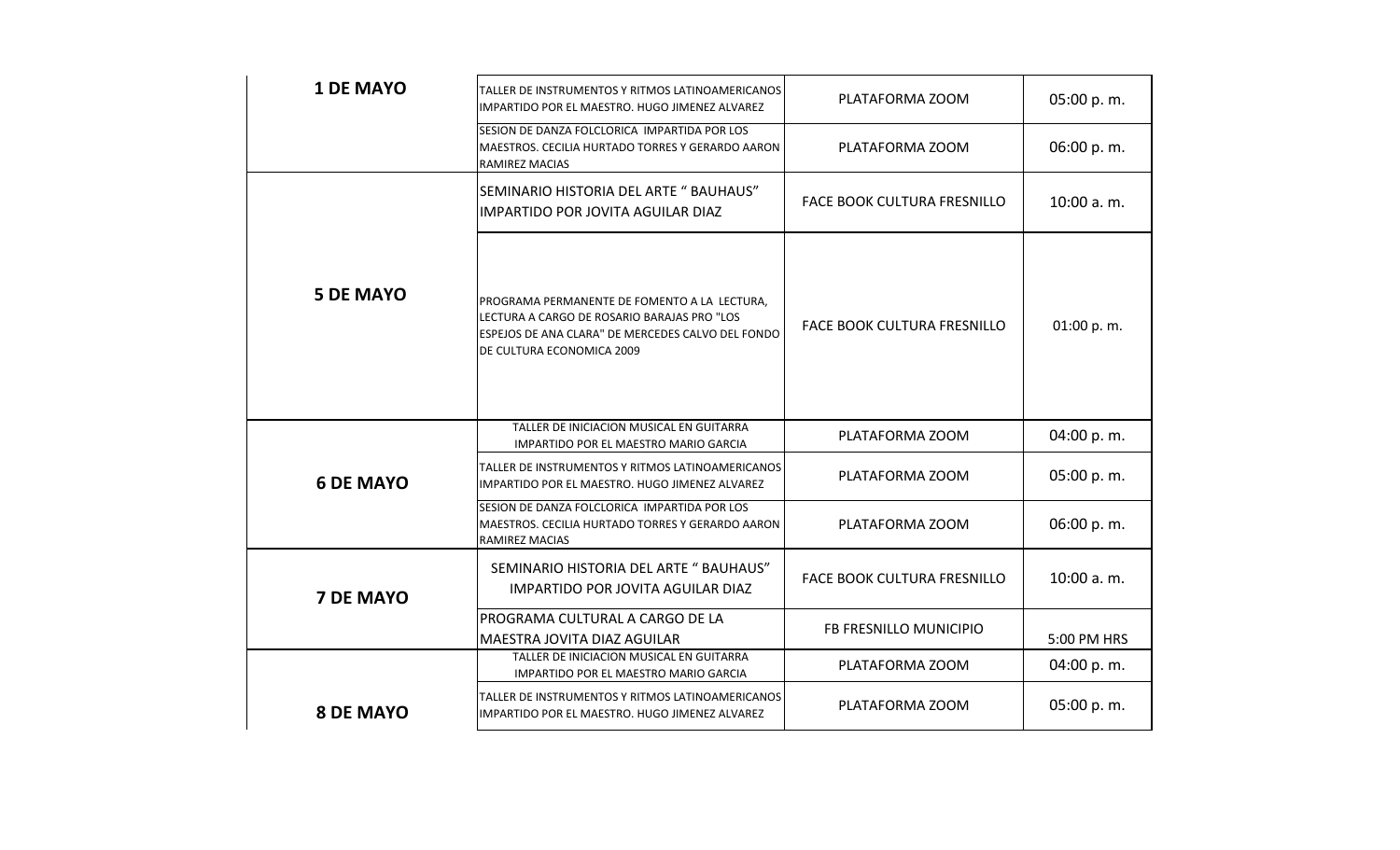| <b>1 DE MAYO</b> | TALLER DE INSTRUMENTOS Y RITMOS LATINOAMERICANOS<br>IMPARTIDO POR EL MAESTRO. HUGO JIMENEZ ALVAREZ                                                                            | PLATAFORMA ZOOM                    | 05:00 p.m.  |
|------------------|-------------------------------------------------------------------------------------------------------------------------------------------------------------------------------|------------------------------------|-------------|
|                  | SESION DE DANZA FOLCLORICA IMPARTIDA POR LOS<br>MAESTROS. CECILIA HURTADO TORRES Y GERARDO AARON<br>RAMIREZ MACIAS                                                            | PLATAFORMA ZOOM                    | 06:00 p.m.  |
|                  | SEMINARIO HISTORIA DEL ARTE " BAUHAUS"<br>IMPARTIDO POR JOVITA AGUILAR DIAZ                                                                                                   | <b>FACE BOOK CULTURA FRESNILLO</b> | 10:00 a.m.  |
| <b>5 DE MAYO</b> | PROGRAMA PERMANENTE DE FOMENTO A LA LECTURA,<br>LECTURA A CARGO DE ROSARIO BARAJAS PRO "LOS<br>ESPEJOS DE ANA CLARA" DE MERCEDES CALVO DEL FONDO<br>DE CULTURA ECONOMICA 2009 | FACE BOOK CULTURA FRESNILLO        | 01:00 p.m.  |
|                  | TALLER DE INICIACION MUSICAL EN GUITARRA<br>IMPARTIDO POR EL MAESTRO MARIO GARCIA                                                                                             | PLATAFORMA ZOOM                    | 04:00 p.m.  |
| <b>6 DE MAYO</b> | TALLER DE INSTRUMENTOS Y RITMOS LATINOAMERICANOS<br>IMPARTIDO POR EL MAESTRO. HUGO JIMENEZ ALVAREZ                                                                            | PLATAFORMA ZOOM                    | 05:00 p.m.  |
|                  | SESION DE DANZA FOLCLORICA IMPARTIDA POR LOS<br>MAESTROS. CECILIA HURTADO TORRES Y GERARDO AARON<br>RAMIREZ MACIAS                                                            | PLATAFORMA ZOOM                    | 06:00 p.m.  |
| <b>7 DE MAYO</b> | SEMINARIO HISTORIA DEL ARTE " BAUHAUS"<br>IMPARTIDO POR JOVITA AGUILAR DIAZ                                                                                                   | FACE BOOK CULTURA FRESNILLO        | 10:00 a.m.  |
|                  | PROGRAMA CULTURAL A CARGO DE LA<br>MAESTRA JOVITA DIAZ AGUILAR                                                                                                                | FB FRESNILLO MUNICIPIO             | 5:00 PM HRS |
|                  | TALLER DE INICIACION MUSICAL EN GUITARRA<br>IMPARTIDO POR EL MAESTRO MARIO GARCIA                                                                                             | PLATAFORMA ZOOM                    | 04:00 p.m.  |
| <b>8 DE MAYO</b> | TALLER DE INSTRUMENTOS Y RITMOS LATINOAMERICANOS<br>IMPARTIDO POR EL MAESTRO. HUGO JIMENEZ ALVAREZ                                                                            | PLATAFORMA ZOOM                    | 05:00 p.m.  |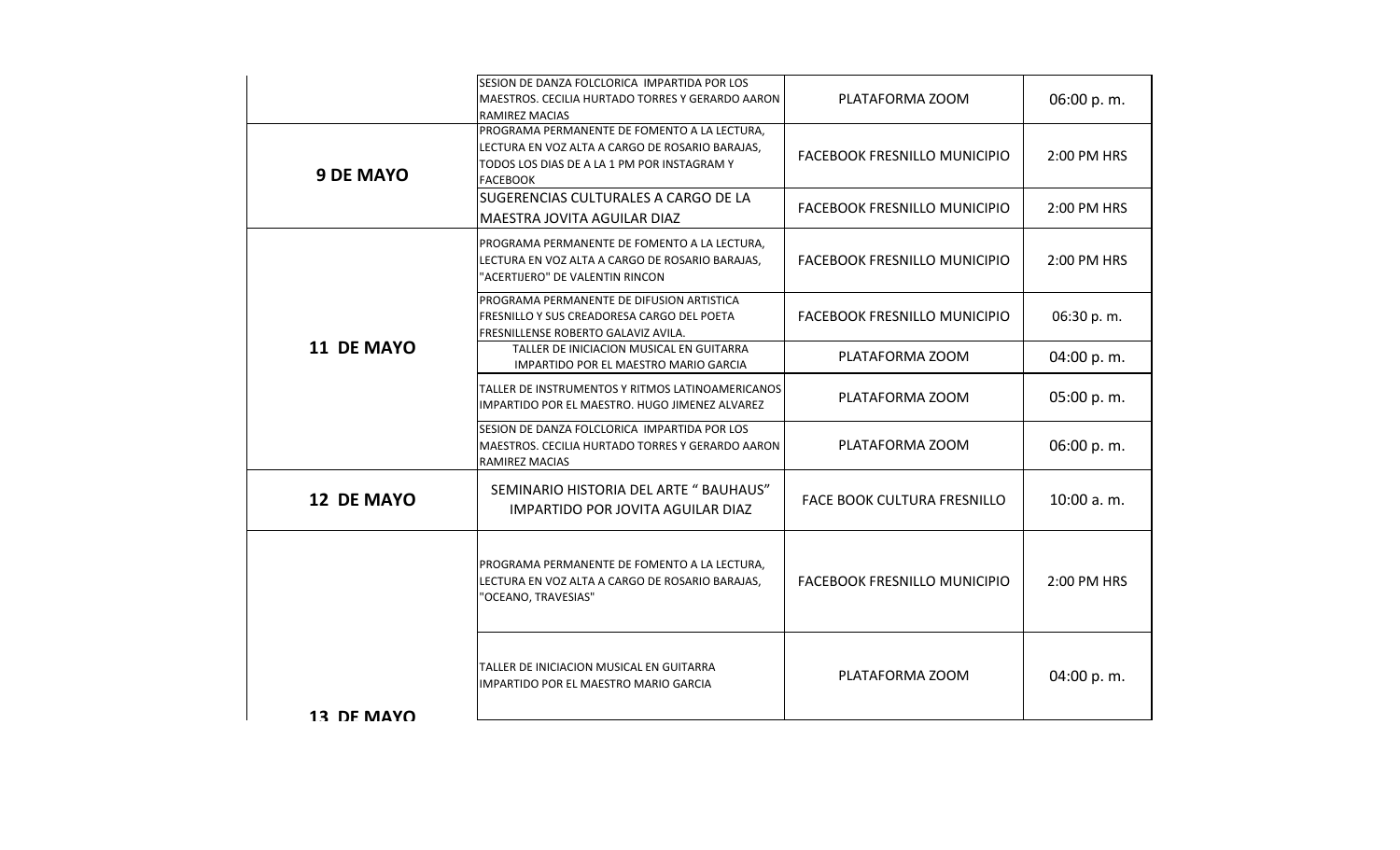|                   | SESION DE DANZA FOLCLORICA IMPARTIDA POR LOS<br>MAESTROS. CECILIA HURTADO TORRES Y GERARDO AARON<br><b>RAMIREZ MACIAS</b>                                         | PLATAFORMA ZOOM                     | 06:00 p.m.  |
|-------------------|-------------------------------------------------------------------------------------------------------------------------------------------------------------------|-------------------------------------|-------------|
| <b>9 DE MAYO</b>  | PROGRAMA PERMANENTE DE FOMENTO A LA LECTURA,<br>LECTURA EN VOZ ALTA A CARGO DE ROSARIO BARAJAS,<br>TODOS LOS DIAS DE A LA 1 PM POR INSTAGRAM Y<br><b>FACEBOOK</b> | <b>FACEBOOK FRESNILLO MUNICIPIO</b> | 2:00 PM HRS |
|                   | SUGERENCIAS CULTURALES A CARGO DE LA<br>MAESTRA JOVITA AGUILAR DIAZ                                                                                               | <b>FACEBOOK FRESNILLO MUNICIPIO</b> | 2:00 PM HRS |
|                   | PROGRAMA PERMANENTE DE FOMENTO A LA LECTURA,<br>LECTURA EN VOZ ALTA A CARGO DE ROSARIO BARAJAS,<br>"ACERTIJERO" DE VALENTIN RINCON                                | FACEBOOK FRESNILLO MUNICIPIO        | 2:00 PM HRS |
|                   | PROGRAMA PERMANENTE DE DIFUSION ARTISTICA<br>FRESNILLO Y SUS CREADORESA CARGO DEL POETA<br>FRESNILLENSE ROBERTO GALAVIZ AVILA.                                    | FACEBOOK FRESNILLO MUNICIPIO        | 06:30 p.m.  |
| <b>11 DE MAYO</b> | TALLER DE INICIACION MUSICAL EN GUITARRA<br>IMPARTIDO POR EL MAESTRO MARIO GARCIA                                                                                 | PLATAFORMA ZOOM                     | 04:00 p.m.  |
|                   | TALLER DE INSTRUMENTOS Y RITMOS LATINOAMERICANOS<br>IMPARTIDO POR EL MAESTRO. HUGO JIMENEZ ALVAREZ                                                                | PLATAFORMA ZOOM                     | 05:00 p.m.  |
|                   | SESION DE DANZA FOLCLORICA IMPARTIDA POR LOS<br>MAESTROS. CECILIA HURTADO TORRES Y GERARDO AARON<br>RAMIREZ MACIAS                                                | PLATAFORMA ZOOM                     | 06:00 p.m.  |
| <b>12 DE MAYO</b> | SEMINARIO HISTORIA DEL ARTE " BAUHAUS"<br>IMPARTIDO POR JOVITA AGUILAR DIAZ                                                                                       | FACE BOOK CULTURA FRESNILLO         | 10:00 a.m.  |
|                   | PROGRAMA PERMANENTE DE FOMENTO A LA LECTURA,<br>LECTURA EN VOZ ALTA A CARGO DE ROSARIO BARAJAS,<br>"OCEANO, TRAVESIAS"                                            | <b>FACEBOOK FRESNILLO MUNICIPIO</b> | 2:00 PM HRS |
| 13 DF MAYO        | TALLER DE INICIACION MUSICAL EN GUITARRA<br><b>IMPARTIDO POR EL MAESTRO MARIO GARCIA</b>                                                                          | PLATAFORMA ZOOM                     | 04:00 p.m.  |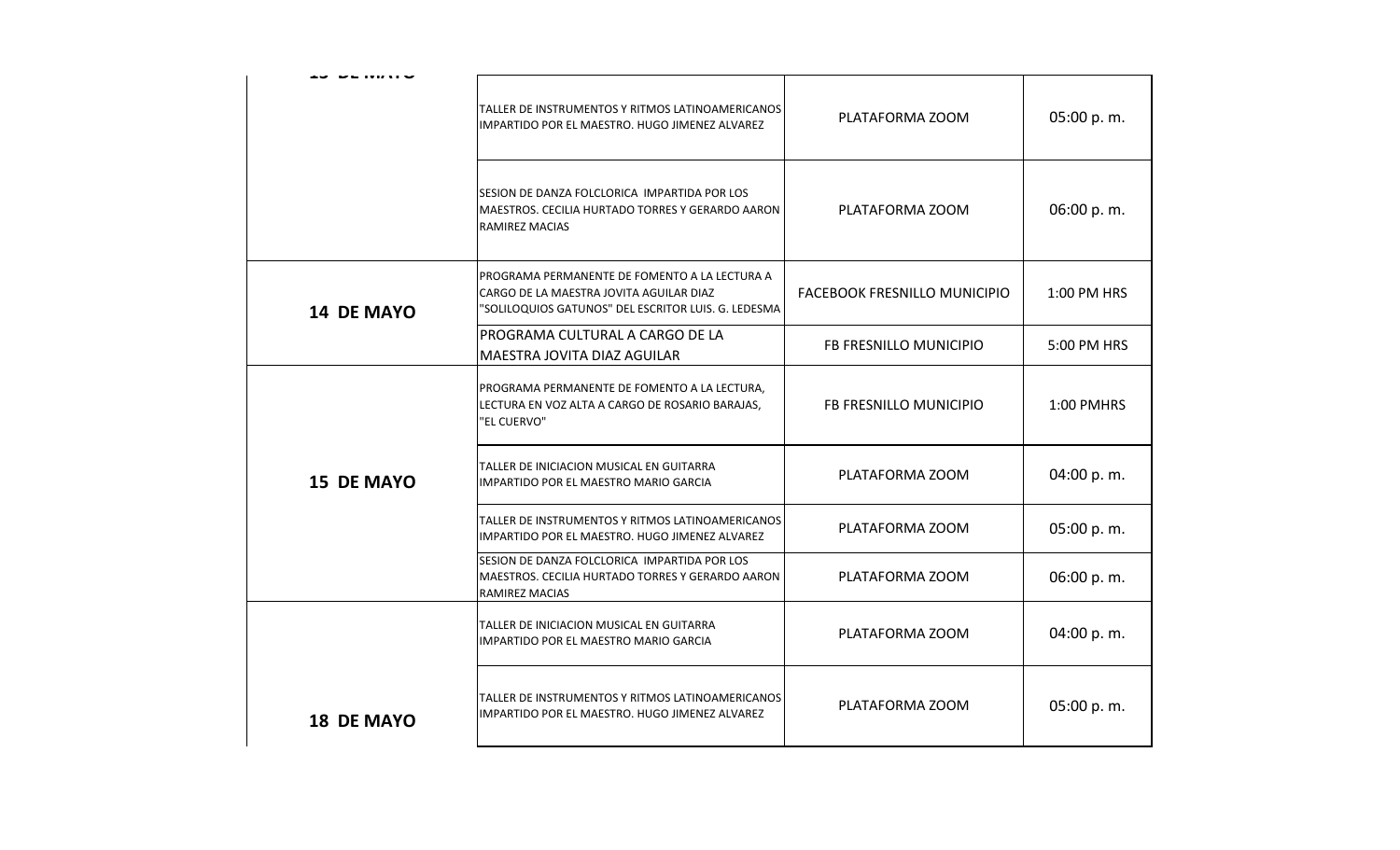|                   | TALLER DE INSTRUMENTOS Y RITMOS LATINOAMERICANOS<br>IMPARTIDO POR EL MAESTRO. HUGO JIMENEZ ALVAREZ                                              | PLATAFORMA ZOOM              | 05:00 p.m.  |
|-------------------|-------------------------------------------------------------------------------------------------------------------------------------------------|------------------------------|-------------|
|                   | SESION DE DANZA FOLCLORICA IMPARTIDA POR LOS<br>MAESTROS. CECILIA HURTADO TORRES Y GERARDO AARON<br><b>RAMIREZ MACIAS</b>                       | PLATAFORMA ZOOM              | 06:00 p.m.  |
| <b>14 DE MAYO</b> | PROGRAMA PERMANENTE DE FOMENTO A LA LECTURA A<br>CARGO DE LA MAESTRA JOVITA AGUILAR DIAZ<br>"SOLILOQUIOS GATUNOS" DEL ESCRITOR LUIS. G. LEDESMA | FACEBOOK FRESNILLO MUNICIPIO | 1:00 PM HRS |
|                   | PROGRAMA CULTURAL A CARGO DE LA<br>MAESTRA JOVITA DIAZ AGUILAR                                                                                  | FB FRESNILLO MUNICIPIO       | 5:00 PM HRS |
|                   | PROGRAMA PERMANENTE DE FOMENTO A LA LECTURA,<br>LECTURA EN VOZ ALTA A CARGO DE ROSARIO BARAJAS,<br>"EL CUERVO"                                  | FB FRESNILLO MUNICIPIO       | 1:00 PMHRS  |
| <b>15 DE MAYO</b> | TALLER DE INICIACION MUSICAL EN GUITARRA<br>IMPARTIDO POR EL MAESTRO MARIO GARCIA                                                               | PLATAFORMA ZOOM              | 04:00 p.m.  |
|                   | TALLER DE INSTRUMENTOS Y RITMOS LATINOAMERICANOS<br>IMPARTIDO POR EL MAESTRO. HUGO JIMENEZ ALVAREZ                                              | PLATAFORMA ZOOM              | 05:00 p.m.  |
|                   | SESION DE DANZA FOLCLORICA IMPARTIDA POR LOS<br>MAESTROS. CECILIA HURTADO TORRES Y GERARDO AARON<br>RAMIREZ MACIAS                              | PLATAFORMA ZOOM              | 06:00 p.m.  |
|                   | TALLER DE INICIACION MUSICAL EN GUITARRA<br>IMPARTIDO POR EL MAESTRO MARIO GARCIA                                                               | PLATAFORMA ZOOM              | 04:00 p.m.  |
| <b>18 DE MAYO</b> | TALLER DE INSTRUMENTOS Y RITMOS LATINOAMERICANOS<br>IMPARTIDO POR EL MAESTRO. HUGO JIMENEZ ALVAREZ                                              | PLATAFORMA ZOOM              | 05:00 p.m.  |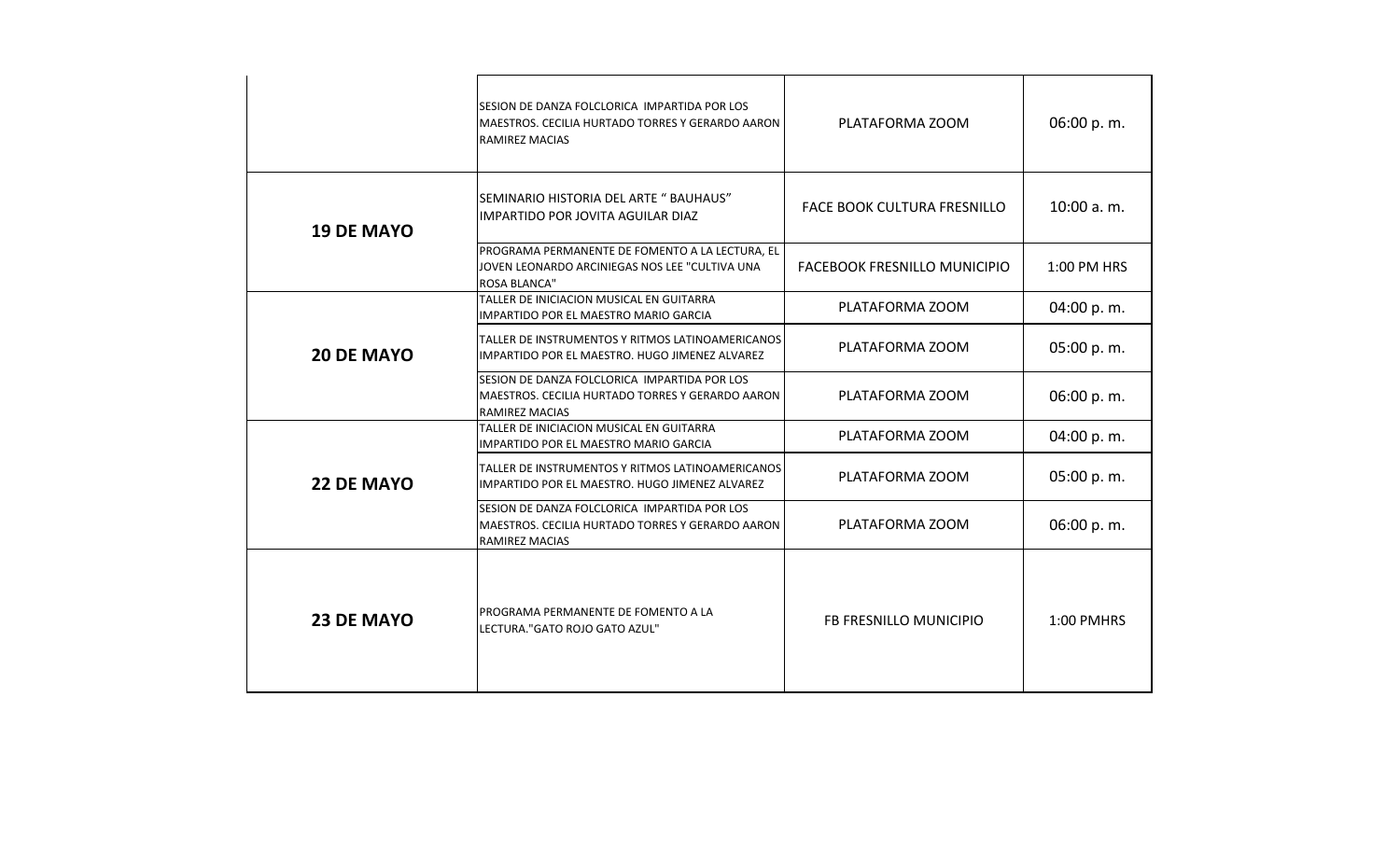|                   | SESION DE DANZA FOLCLORICA IMPARTIDA POR LOS<br>MAESTROS. CECILIA HURTADO TORRES Y GERARDO AARON<br><b>RAMIREZ MACIAS</b> | PLATAFORMA ZOOM                    | 06:00 p.m.  |
|-------------------|---------------------------------------------------------------------------------------------------------------------------|------------------------------------|-------------|
| <b>19 DE MAYO</b> | SEMINARIO HISTORIA DEL ARTE " BAUHAUS"<br><b>IMPARTIDO POR JOVITA AGUILAR DIAZ</b>                                        | <b>FACE BOOK CULTURA FRESNILLO</b> | 10:00 a.m.  |
|                   | PROGRAMA PERMANENTE DE FOMENTO A LA LECTURA, EL<br>JOVEN LEONARDO ARCINIEGAS NOS LEE "CULTIVA UNA<br><b>ROSA BLANCA"</b>  | FACEBOOK FRESNILLO MUNICIPIO       | 1:00 PM HRS |
|                   | TALLER DE INICIACION MUSICAL EN GUITARRA<br>IMPARTIDO POR EL MAESTRO MARIO GARCIA                                         | PLATAFORMA ZOOM                    | 04:00 p.m.  |
| <b>20 DE MAYO</b> | TALLER DE INSTRUMENTOS Y RITMOS LATINOAMERICANOS<br>IMPARTIDO POR EL MAESTRO. HUGO JIMENEZ ALVAREZ                        | PLATAFORMA ZOOM                    | 05:00 p.m.  |
|                   | SESION DE DANZA FOLCLORICA IMPARTIDA POR LOS<br>MAESTROS. CECILIA HURTADO TORRES Y GERARDO AARON<br>RAMIREZ MACIAS        | PLATAFORMA ZOOM                    | 06:00 p.m.  |
|                   | TALLER DE INICIACION MUSICAL EN GUITARRA<br><b>IMPARTIDO POR EL MAESTRO MARIO GARCIA</b>                                  | PLATAFORMA ZOOM                    | 04:00 p.m.  |
| 22 DE MAYO        | TALLER DE INSTRUMENTOS Y RITMOS LATINOAMERICANOS<br>IMPARTIDO POR EL MAESTRO. HUGO JIMENEZ ALVAREZ                        | PLATAFORMA ZOOM                    | 05:00 p.m.  |
|                   | SESION DE DANZA FOLCLORICA IMPARTIDA POR LOS<br>MAESTROS. CECILIA HURTADO TORRES Y GERARDO AARON<br><b>RAMIREZ MACIAS</b> | PLATAFORMA ZOOM                    | 06:00 p.m.  |
| <b>23 DE MAYO</b> | PROGRAMA PERMANENTE DE FOMENTO A LA<br>LECTURA."GATO ROJO GATO AZUL"                                                      | FB FRESNILLO MUNICIPIO             | 1:00 PMHRS  |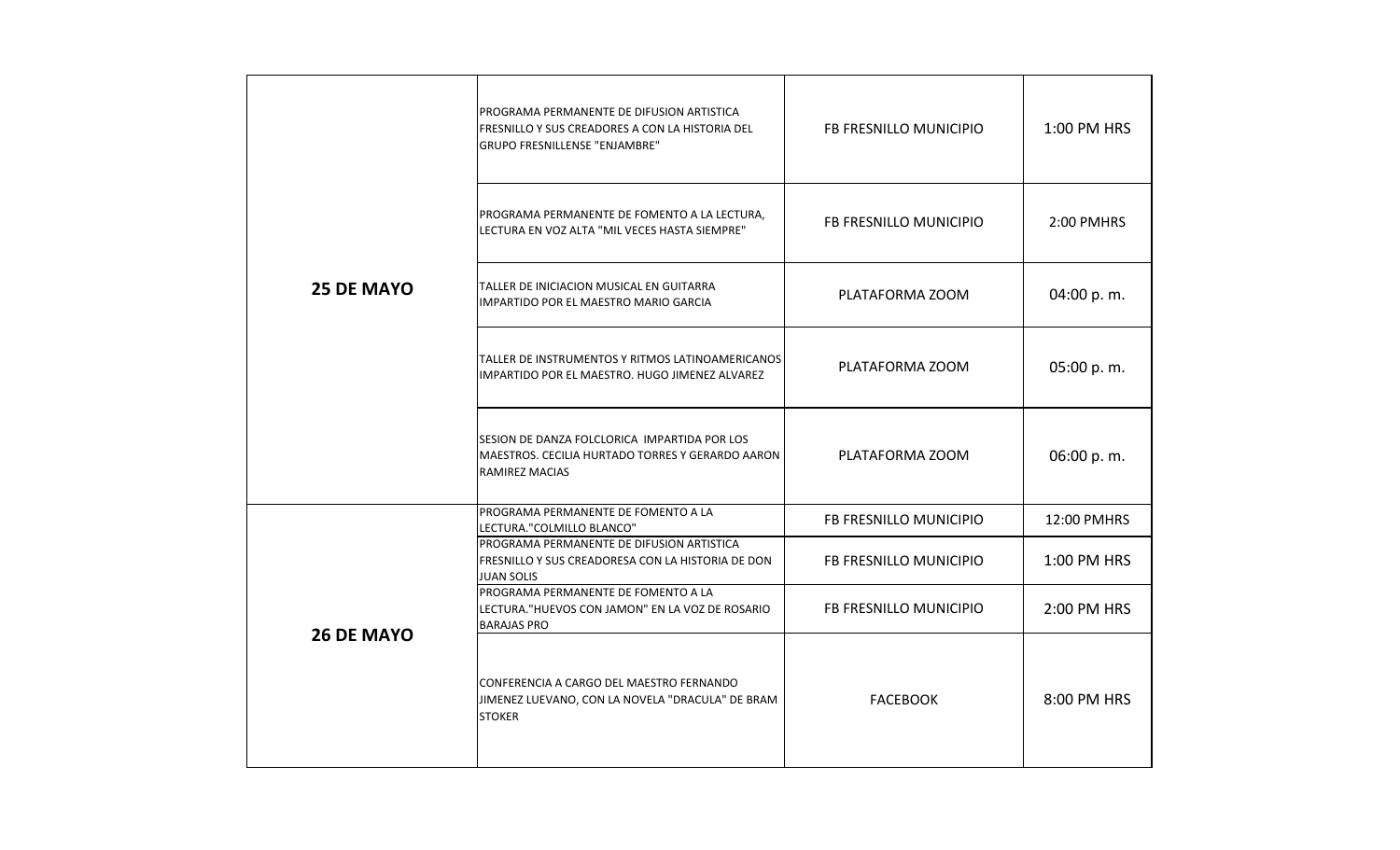|                   | PROGRAMA PERMANENTE DE DIFUSION ARTISTICA<br>FRESNILLO Y SUS CREADORES A CON LA HISTORIA DEL<br><b>GRUPO FRESNILLENSE "ENJAMBRE"</b> | FB FRESNILLO MUNICIPIO | 1:00 PM HRS |
|-------------------|--------------------------------------------------------------------------------------------------------------------------------------|------------------------|-------------|
|                   | PROGRAMA PERMANENTE DE FOMENTO A LA LECTURA,<br>LECTURA EN VOZ ALTA "MIL VECES HASTA SIEMPRE"                                        | FB FRESNILLO MUNICIPIO | 2:00 PMHRS  |
| <b>25 DE MAYO</b> | TALLER DE INICIACION MUSICAL EN GUITARRA<br>IMPARTIDO POR EL MAESTRO MARIO GARCIA                                                    | PLATAFORMA ZOOM        | 04:00 p.m.  |
|                   | TALLER DE INSTRUMENTOS Y RITMOS LATINOAMERICANOS<br>IMPARTIDO POR EL MAESTRO. HUGO JIMENEZ ALVAREZ                                   | PLATAFORMA ZOOM        | 05:00 p.m.  |
|                   | SESION DE DANZA FOLCLORICA IMPARTIDA POR LOS<br>MAESTROS. CECILIA HURTADO TORRES Y GERARDO AARON<br>RAMIREZ MACIAS                   | PLATAFORMA ZOOM        | 06:00 p.m.  |
|                   | PROGRAMA PERMANENTE DE FOMENTO A LA<br>LECTURA."COLMILLO BLANCO"                                                                     | FB FRESNILLO MUNICIPIO | 12:00 PMHRS |
|                   | PROGRAMA PERMANENTE DE DIFUSION ARTISTICA<br>FRESNILLO Y SUS CREADORESA CON LA HISTORIA DE DON<br><b>JUAN SOLIS</b>                  | FB FRESNILLO MUNICIPIO | 1:00 PM HRS |
| <b>26 DE MAYO</b> | PROGRAMA PERMANENTE DE FOMENTO A LA<br>LECTURA. "HUEVOS CON JAMON" EN LA VOZ DE ROSARIO<br><b>BARAJAS PRO</b>                        | FB FRESNILLO MUNICIPIO | 2:00 PM HRS |
|                   | CONFERENCIA A CARGO DEL MAESTRO FERNANDO<br>JIMENEZ LUEVANO, CON LA NOVELA "DRACULA" DE BRAM<br><b>STOKER</b>                        | <b>FACEBOOK</b>        | 8:00 PM HRS |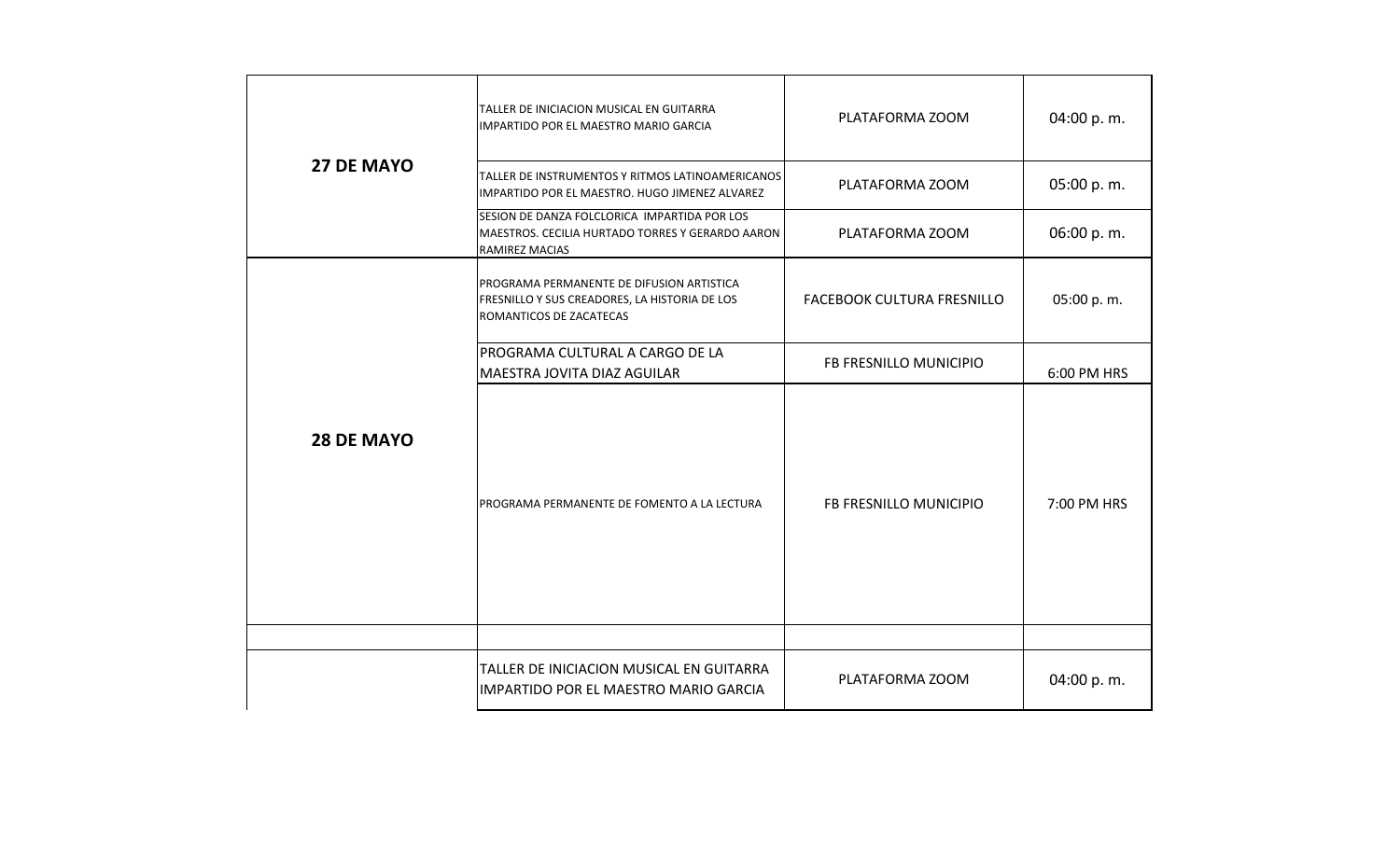|                   | TALLER DE INICIACION MUSICAL EN GUITARRA<br>IMPARTIDO POR EL MAESTRO MARIO GARCIA                                     | PLATAFORMA ZOOM            | 04:00 p.m.  |
|-------------------|-----------------------------------------------------------------------------------------------------------------------|----------------------------|-------------|
| <b>27 DE MAYO</b> | TALLER DE INSTRUMENTOS Y RITMOS LATINOAMERICANOS<br>IMPARTIDO POR EL MAESTRO. HUGO JIMENEZ ALVAREZ                    | PLATAFORMA ZOOM            | 05:00 p.m.  |
|                   | SESION DE DANZA FOLCLORICA IMPARTIDA POR LOS<br>MAESTROS. CECILIA HURTADO TORRES Y GERARDO AARON<br>RAMIREZ MACIAS    | PLATAFORMA ZOOM            | 06:00 p.m.  |
|                   | PROGRAMA PERMANENTE DE DIFUSION ARTISTICA<br>FRESNILLO Y SUS CREADORES, LA HISTORIA DE LOS<br>ROMANTICOS DE ZACATECAS | FACEBOOK CULTURA FRESNILLO | 05:00 p.m.  |
|                   | PROGRAMA CULTURAL A CARGO DE LA<br>MAESTRA JOVITA DIAZ AGUILAR                                                        | FB FRESNILLO MUNICIPIO     | 6:00 PM HRS |
| <b>28 DE MAYO</b> | PROGRAMA PERMANENTE DE FOMENTO A LA LECTURA                                                                           | FB FRESNILLO MUNICIPIO     | 7:00 PM HRS |
|                   |                                                                                                                       |                            |             |
|                   | TALLER DE INICIACION MUSICAL EN GUITARRA<br>IMPARTIDO POR EL MAESTRO MARIO GARCIA                                     | PLATAFORMA ZOOM            | 04:00 p.m.  |
|                   |                                                                                                                       |                            |             |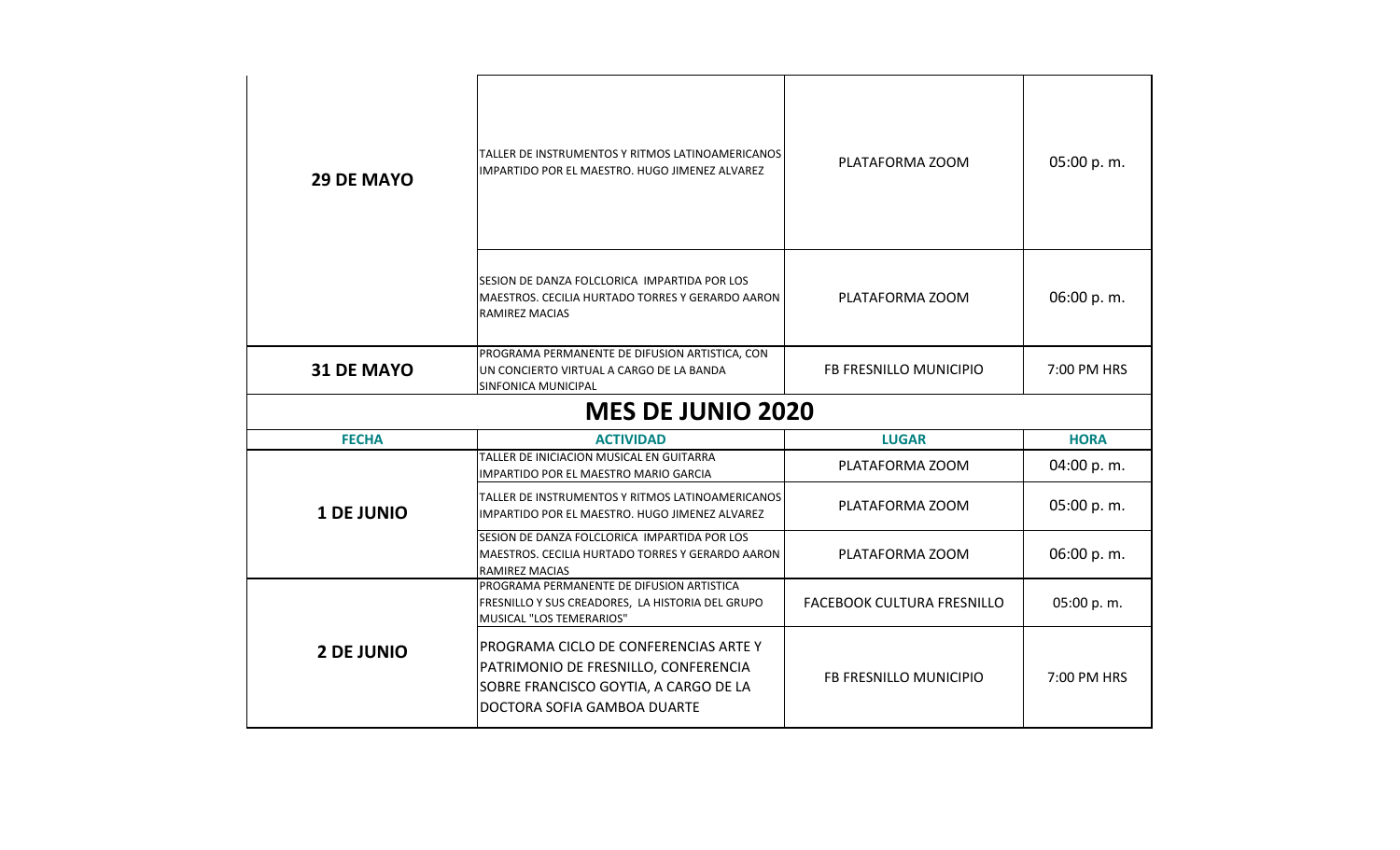| <b>29 DE MAYO</b> | TALLER DE INSTRUMENTOS Y RITMOS LATINOAMERICANOS<br>IMPARTIDO POR EL MAESTRO. HUGO JIMENEZ ALVAREZ                                                    | PLATAFORMA ZOOM                   | 05:00 p.m.  |
|-------------------|-------------------------------------------------------------------------------------------------------------------------------------------------------|-----------------------------------|-------------|
|                   | SESION DE DANZA FOLCLORICA IMPARTIDA POR LOS<br>MAESTROS. CECILIA HURTADO TORRES Y GERARDO AARON<br>RAMIREZ MACIAS                                    | PLATAFORMA ZOOM                   | 06:00 p.m.  |
| 31 DE MAYO        | PROGRAMA PERMANENTE DE DIFUSION ARTISTICA, CON<br>UN CONCIERTO VIRTUAL A CARGO DE LA BANDA<br>SINFONICA MUNICIPAL                                     | FB FRESNILLO MUNICIPIO            | 7:00 PM HRS |
|                   | <b>MES DE JUNIO 2020</b>                                                                                                                              |                                   |             |
| <b>FECHA</b>      | <b>ACTIVIDAD</b>                                                                                                                                      | <b>LUGAR</b>                      | <b>HORA</b> |
|                   | TALLER DE INICIACION MUSICAL EN GUITARRA<br>IMPARTIDO POR EL MAESTRO MARIO GARCIA                                                                     | PLATAFORMA ZOOM                   | 04:00 p.m.  |
| <b>1 DE JUNIO</b> | TALLER DE INSTRUMENTOS Y RITMOS LATINOAMERICANOS<br>IMPARTIDO POR EL MAESTRO. HUGO JIMENEZ ALVAREZ                                                    | PLATAFORMA ZOOM                   | 05:00 p.m.  |
|                   | SESION DE DANZA FOLCLORICA IMPARTIDA POR LOS<br>MAESTROS. CECILIA HURTADO TORRES Y GERARDO AARON<br><b>RAMIREZ MACIAS</b>                             | PLATAFORMA ZOOM                   | 06:00 p.m.  |
|                   | PROGRAMA PERMANENTE DE DIFUSION ARTISTICA<br>FRESNILLO Y SUS CREADORES, LA HISTORIA DEL GRUPO<br>MUSICAL "LOS TEMERARIOS"                             | <b>FACEBOOK CULTURA FRESNILLO</b> | 05:00 p.m.  |
| <b>2 DE JUNIO</b> | PROGRAMA CICLO DE CONFERENCIAS ARTE Y<br>PATRIMONIO DE FRESNILLO, CONFERENCIA<br>SOBRE FRANCISCO GOYTIA, A CARGO DE LA<br>DOCTORA SOFIA GAMBOA DUARTE | FB FRESNILLO MUNICIPIO            | 7:00 PM HRS |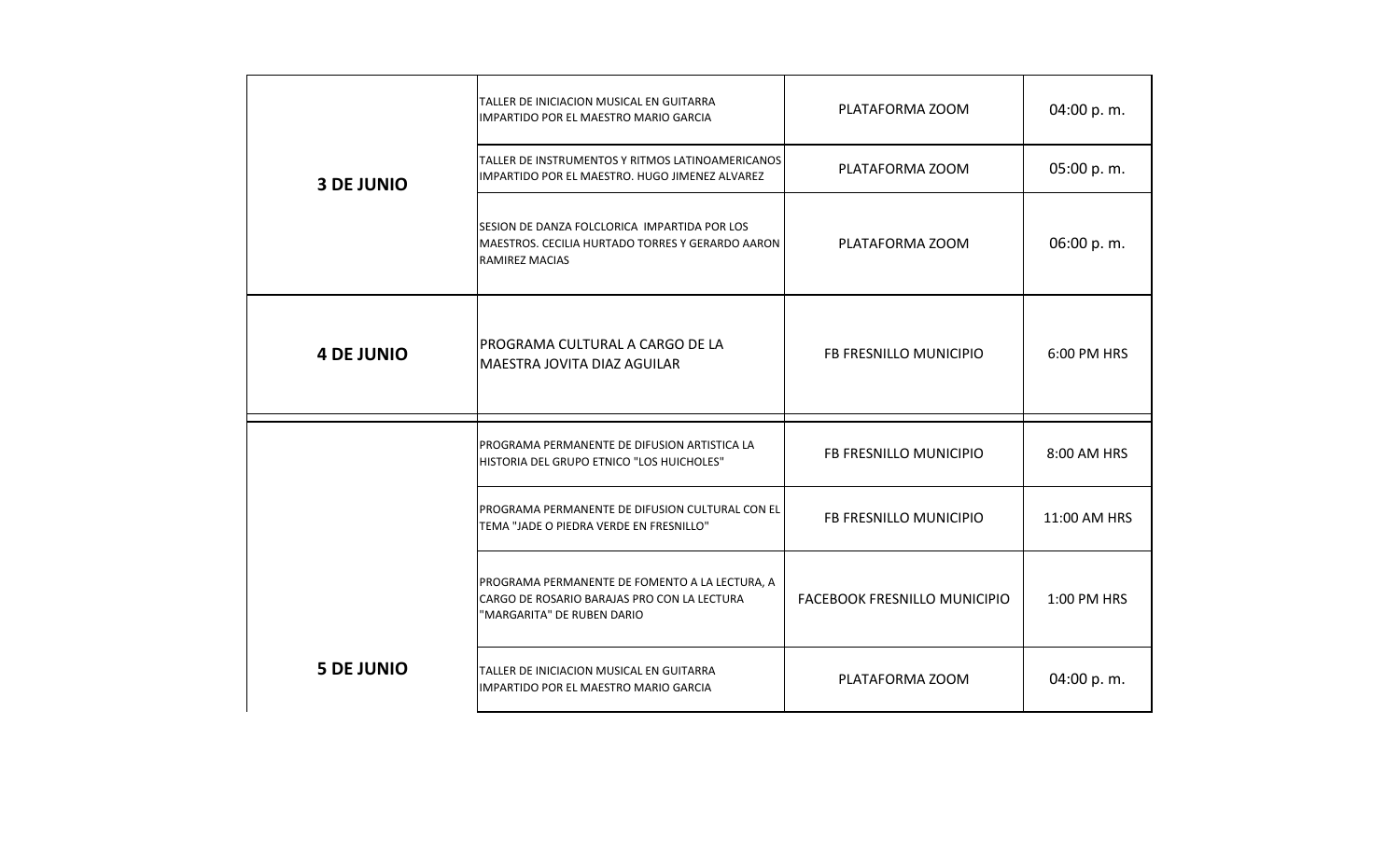|                   | TALLER DE INICIACION MUSICAL EN GUITARRA<br>IMPARTIDO POR EL MAESTRO MARIO GARCIA                                           | PLATAFORMA ZOOM                     | 04:00 p.m.   |
|-------------------|-----------------------------------------------------------------------------------------------------------------------------|-------------------------------------|--------------|
| <b>3 DE JUNIO</b> | TALLER DE INSTRUMENTOS Y RITMOS LATINOAMERICANOS<br>IMPARTIDO POR EL MAESTRO. HUGO JIMENEZ ALVAREZ                          | PLATAFORMA ZOOM                     | 05:00 p.m.   |
|                   | SESION DE DANZA FOLCLORICA IMPARTIDA POR LOS<br>MAESTROS. CECILIA HURTADO TORRES Y GERARDO AARON<br><b>RAMIREZ MACIAS</b>   | PLATAFORMA ZOOM                     | 06:00 p.m.   |
| <b>4 DE JUNIO</b> | PROGRAMA CULTURAL A CARGO DE LA<br>MAESTRA JOVITA DIAZ AGUILAR                                                              | FB FRESNILLO MUNICIPIO              | 6:00 PM HRS  |
|                   | PROGRAMA PERMANENTE DE DIFUSION ARTISTICA LA<br>HISTORIA DEL GRUPO ETNICO "LOS HUICHOLES"                                   | FB FRESNILLO MUNICIPIO              | 8:00 AM HRS  |
|                   | PROGRAMA PERMANENTE DE DIFUSION CULTURAL CON EL<br>TEMA "JADE O PIEDRA VERDE EN FRESNILLO"                                  | FB FRESNILLO MUNICIPIO              | 11:00 AM HRS |
|                   | PROGRAMA PERMANENTE DE FOMENTO A LA LECTURA, A<br>CARGO DE ROSARIO BARAJAS PRO CON LA LECTURA<br>"MARGARITA" DE RUBEN DARIO | <b>FACEBOOK FRESNILLO MUNICIPIO</b> | 1:00 PM HRS  |
| <b>5 DE JUNIO</b> | TALLER DE INICIACION MUSICAL EN GUITARRA<br>IMPARTIDO POR EL MAESTRO MARIO GARCIA                                           | PLATAFORMA ZOOM                     | 04:00 p.m.   |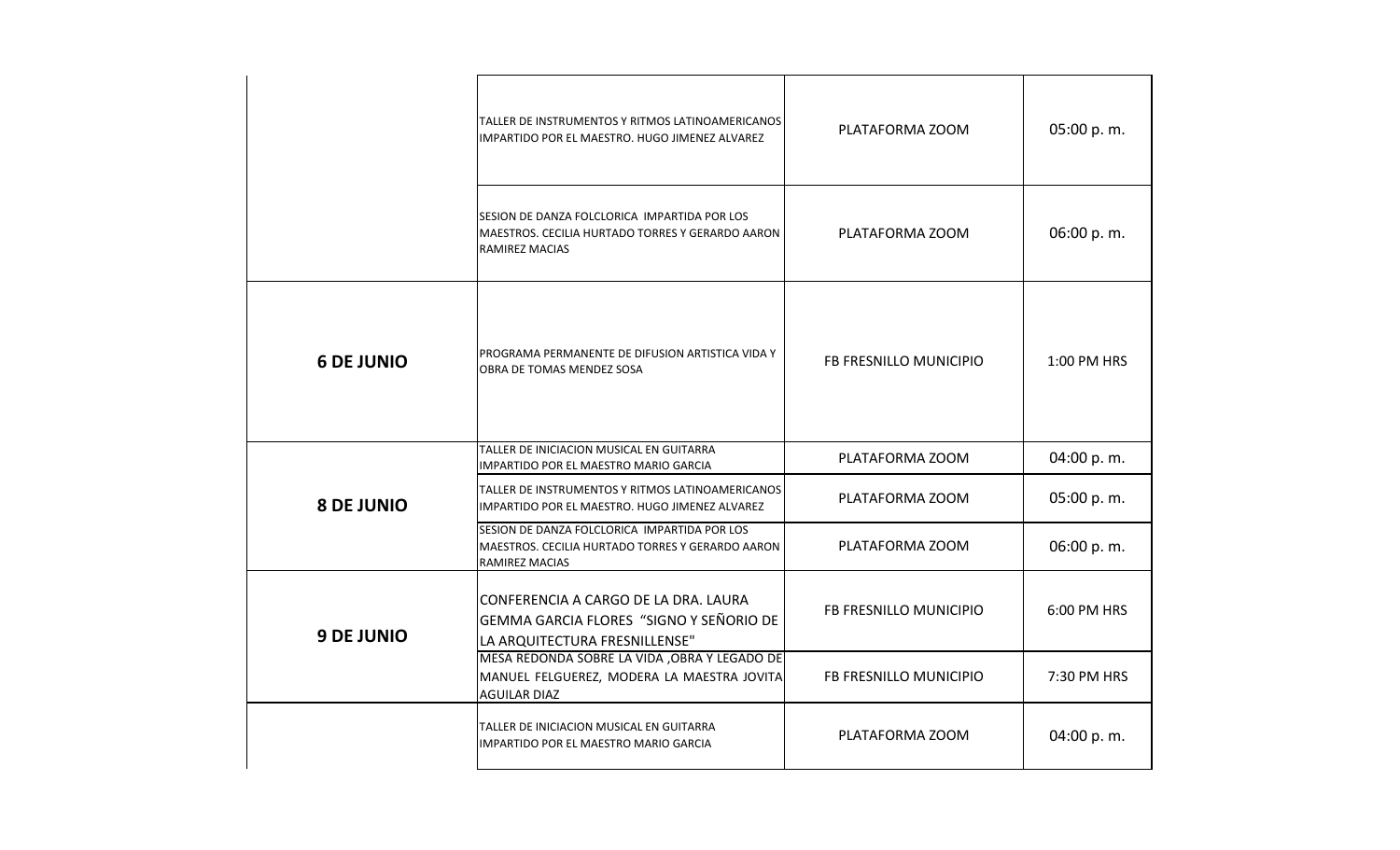|                   | TALLER DE INSTRUMENTOS Y RITMOS LATINOAMERICANOS<br>IMPARTIDO POR EL MAESTRO. HUGO JIMENEZ ALVAREZ                        | PLATAFORMA ZOOM        | 05:00 p.m.  |
|-------------------|---------------------------------------------------------------------------------------------------------------------------|------------------------|-------------|
|                   | SESION DE DANZA FOLCLORICA IMPARTIDA POR LOS<br>MAESTROS. CECILIA HURTADO TORRES Y GERARDO AARON<br><b>RAMIREZ MACIAS</b> | PLATAFORMA ZOOM        | 06:00 p.m.  |
| <b>6 DE JUNIO</b> | PROGRAMA PERMANENTE DE DIFUSION ARTISTICA VIDA Y<br>OBRA DE TOMAS MENDEZ SOSA                                             | FB FRESNILLO MUNICIPIO | 1:00 PM HRS |
|                   | TALLER DE INICIACION MUSICAL EN GUITARRA<br>IMPARTIDO POR EL MAESTRO MARIO GARCIA                                         | PLATAFORMA ZOOM        | 04:00 p.m.  |
| <b>8 DE JUNIO</b> | TALLER DE INSTRUMENTOS Y RITMOS LATINOAMERICANOS<br>IMPARTIDO POR EL MAESTRO. HUGO JIMENEZ ALVAREZ                        | PLATAFORMA ZOOM        | 05:00 p.m.  |
|                   | SESION DE DANZA FOLCLORICA IMPARTIDA POR LOS<br>MAESTROS. CECILIA HURTADO TORRES Y GERARDO AARON<br><b>RAMIREZ MACIAS</b> | PLATAFORMA ZOOM        | 06:00 p.m.  |
| <b>9 DE JUNIO</b> | CONFERENCIA A CARGO DE LA DRA. LAURA<br>GEMMA GARCIA FLORES "SIGNO Y SEÑORIO DE<br>LA ARQUITECTURA FRESNILLENSE"          | FB FRESNILLO MUNICIPIO | 6:00 PM HRS |
|                   | MESA REDONDA SOBRE LA VIDA , OBRA Y LEGADO DE<br>MANUEL FELGUEREZ, MODERA LA MAESTRA JOVITA<br><b>AGUILAR DIAZ</b>        | FB FRESNILLO MUNICIPIO | 7:30 PM HRS |
|                   | TALLER DE INICIACION MUSICAL EN GUITARRA<br>IMPARTIDO POR EL MAESTRO MARIO GARCIA                                         | PLATAFORMA ZOOM        | 04:00 p.m.  |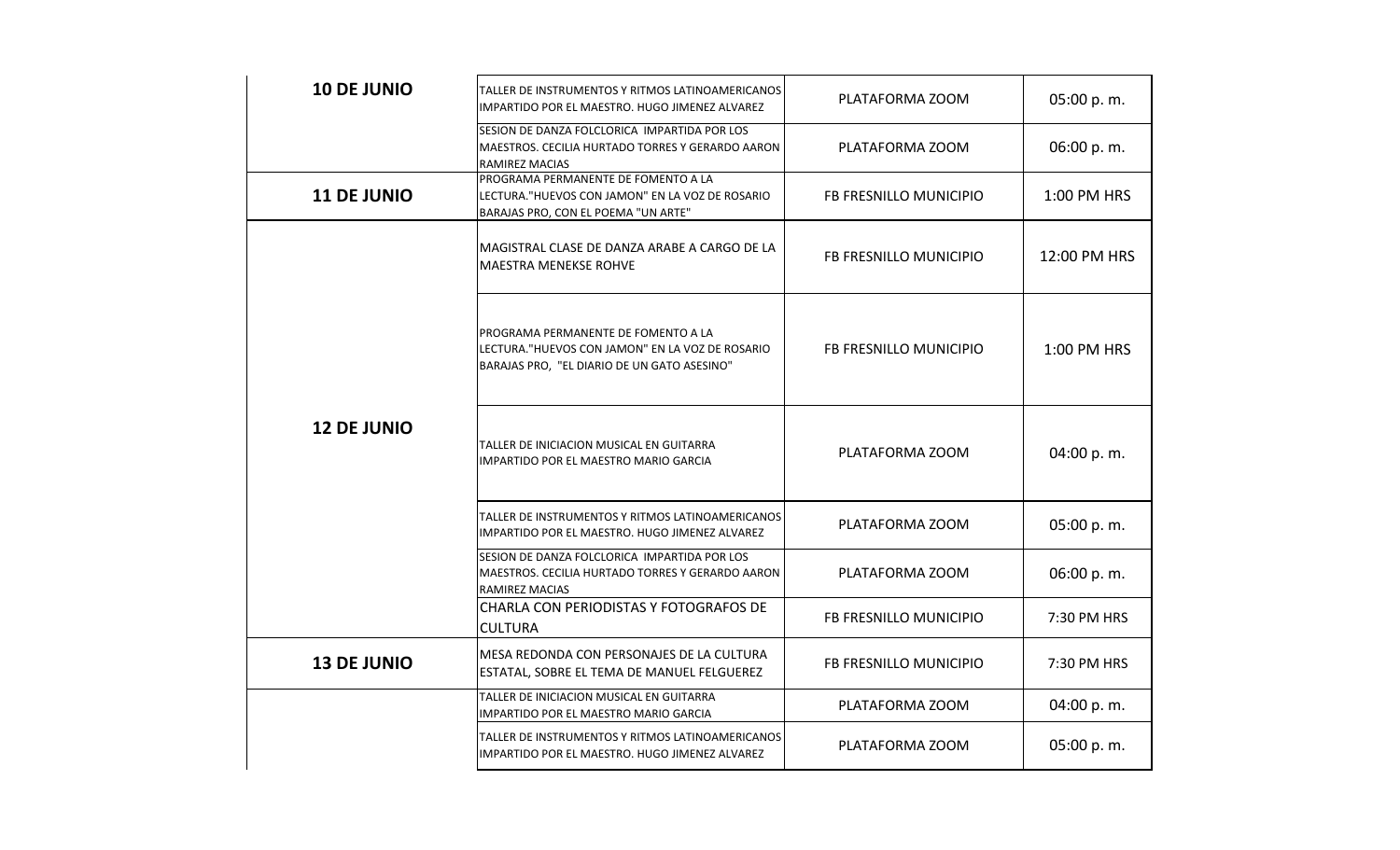| <b>10 DE JUNIO</b> | TALLER DE INSTRUMENTOS Y RITMOS LATINOAMERICANOS<br>IMPARTIDO POR EL MAESTRO. HUGO JIMENEZ ALVAREZ                                     | PLATAFORMA ZOOM        | 05:00 p.m.   |
|--------------------|----------------------------------------------------------------------------------------------------------------------------------------|------------------------|--------------|
|                    | SESION DE DANZA FOLCLORICA IMPARTIDA POR LOS<br>MAESTROS. CECILIA HURTADO TORRES Y GERARDO AARON<br><b>RAMIREZ MACIAS</b>              | PLATAFORMA ZOOM        | 06:00 p.m.   |
| <b>11 DE JUNIO</b> | PROGRAMA PERMANENTE DE FOMENTO A LA<br>LECTURA. "HUEVOS CON JAMON" EN LA VOZ DE ROSARIO<br>BARAJAS PRO, CON EL POEMA "UN ARTE"         | FB FRESNILLO MUNICIPIO | 1:00 PM HRS  |
|                    | MAGISTRAL CLASE DE DANZA ARABE A CARGO DE LA<br><b>MAESTRA MENEKSE ROHVE</b>                                                           | FB FRESNILLO MUNICIPIO | 12:00 PM HRS |
|                    | PROGRAMA PERMANENTE DE FOMENTO A LA<br>LECTURA. "HUEVOS CON JAMON" EN LA VOZ DE ROSARIO<br>BARAJAS PRO, "EL DIARIO DE UN GATO ASESINO" | FB FRESNILLO MUNICIPIO | 1:00 PM HRS  |
| <b>12 DE JUNIO</b> | TALLER DE INICIACION MUSICAL EN GUITARRA<br>IMPARTIDO POR EL MAESTRO MARIO GARCIA                                                      | PLATAFORMA ZOOM        | 04:00 p.m.   |
|                    | TALLER DE INSTRUMENTOS Y RITMOS LATINOAMERICANOS<br>IMPARTIDO POR EL MAESTRO. HUGO JIMENEZ ALVAREZ                                     | PLATAFORMA ZOOM        | 05:00 p.m.   |
|                    | SESION DE DANZA FOLCLORICA IMPARTIDA POR LOS<br>MAESTROS. CECILIA HURTADO TORRES Y GERARDO AARON<br>RAMIREZ MACIAS                     | PLATAFORMA ZOOM        | 06:00 p.m.   |
|                    | CHARLA CON PERIODISTAS Y FOTOGRAFOS DE<br><b>CULTURA</b>                                                                               | FB FRESNILLO MUNICIPIO | 7:30 PM HRS  |
| <b>13 DE JUNIO</b> | MESA REDONDA CON PERSONAJES DE LA CULTURA<br>ESTATAL, SOBRE EL TEMA DE MANUEL FELGUEREZ                                                | FB FRESNILLO MUNICIPIO | 7:30 PM HRS  |
|                    | TALLER DE INICIACION MUSICAL EN GUITARRA<br>IMPARTIDO POR EL MAESTRO MARIO GARCIA                                                      | PLATAFORMA ZOOM        | 04:00 p.m.   |
|                    | TALLER DE INSTRUMENTOS Y RITMOS LATINOAMERICANOS<br>IMPARTIDO POR EL MAESTRO. HUGO JIMENEZ ALVAREZ                                     | PLATAFORMA ZOOM        | 05:00 p.m.   |
|                    |                                                                                                                                        |                        |              |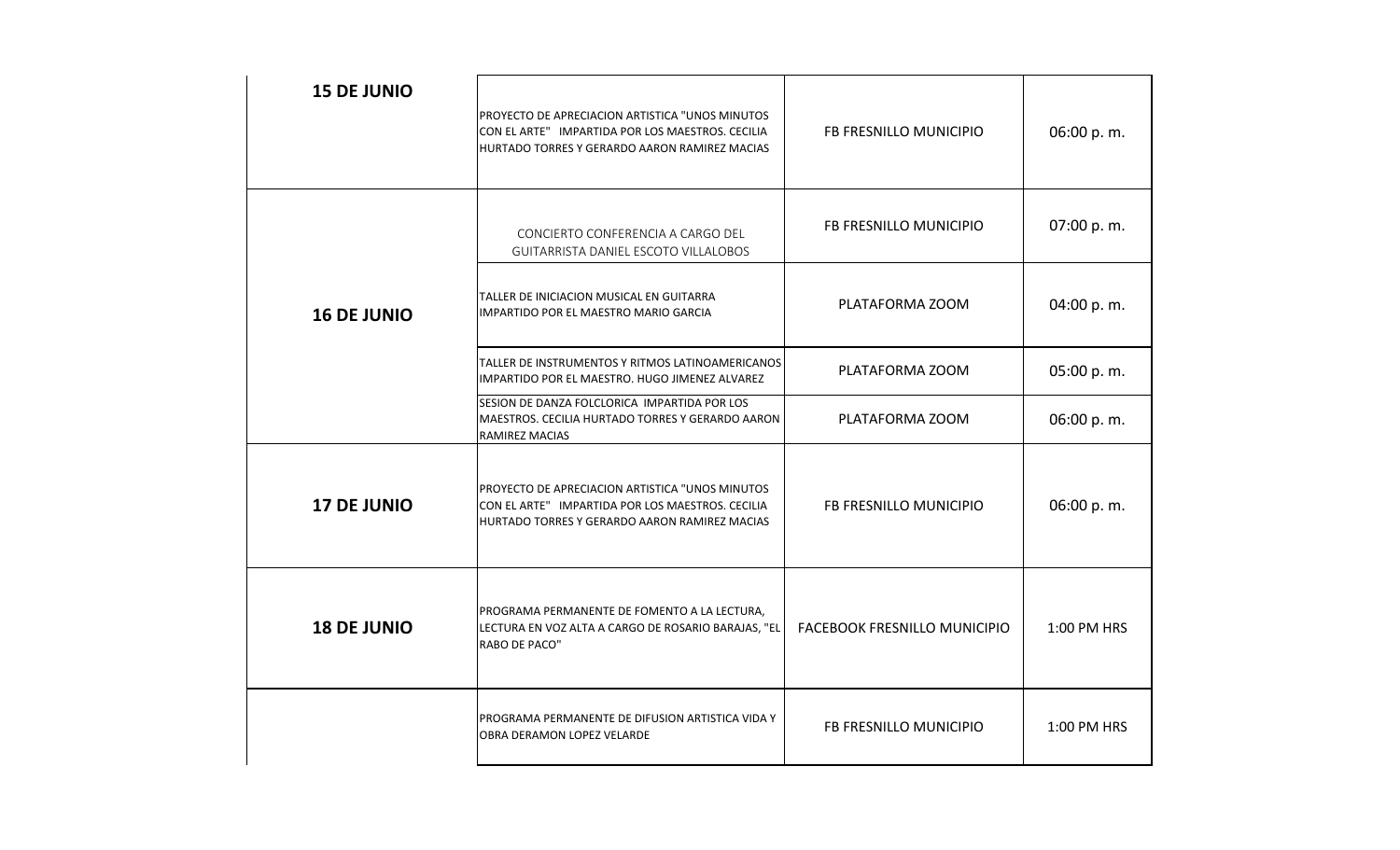| <b>15 DE JUNIO</b> | PROYECTO DE APRECIACION ARTISTICA "UNOS MINUTOS<br>CON EL ARTE" IMPARTIDA POR LOS MAESTROS. CECILIA<br>HURTADO TORRES Y GERARDO AARON RAMIREZ MACIAS | FB FRESNILLO MUNICIPIO       | 06:00 p.m.  |
|--------------------|------------------------------------------------------------------------------------------------------------------------------------------------------|------------------------------|-------------|
|                    | CONCIERTO CONFERENCIA A CARGO DEL<br><b>GUITARRISTA DANIEL ESCOTO VILLALOBOS</b>                                                                     | FB FRESNILLO MUNICIPIO       | 07:00 p.m.  |
| <b>16 DE JUNIO</b> | TALLER DE INICIACION MUSICAL EN GUITARRA<br>IMPARTIDO POR EL MAESTRO MARIO GARCIA                                                                    | PLATAFORMA ZOOM              | 04:00 p.m.  |
|                    | TALLER DE INSTRUMENTOS Y RITMOS LATINOAMERICANOS<br>IMPARTIDO POR EL MAESTRO. HUGO JIMENEZ ALVAREZ                                                   | PLATAFORMA ZOOM              | 05:00 p.m.  |
|                    | SESION DE DANZA FOLCLORICA IMPARTIDA POR LOS<br>MAESTROS. CECILIA HURTADO TORRES Y GERARDO AARON<br><b>RAMIREZ MACIAS</b>                            | PLATAFORMA ZOOM              | 06:00 p.m.  |
| <b>17 DE JUNIO</b> | PROYECTO DE APRECIACION ARTISTICA "UNOS MINUTOS<br>CON EL ARTE" IMPARTIDA POR LOS MAESTROS. CECILIA<br>HURTADO TORRES Y GERARDO AARON RAMIREZ MACIAS | FB FRESNILLO MUNICIPIO       | 06:00 p.m.  |
| <b>18 DE JUNIO</b> | PROGRAMA PERMANENTE DE FOMENTO A LA LECTURA,<br>LECTURA EN VOZ ALTA A CARGO DE ROSARIO BARAJAS, "EL<br>RABO DE PACO"                                 | FACEBOOK FRESNILLO MUNICIPIO | 1:00 PM HRS |
|                    | PROGRAMA PERMANENTE DE DIFUSION ARTISTICA VIDA Y<br>OBRA DERAMON LOPEZ VELARDE                                                                       | FB FRESNILLO MUNICIPIO       | 1:00 PM HRS |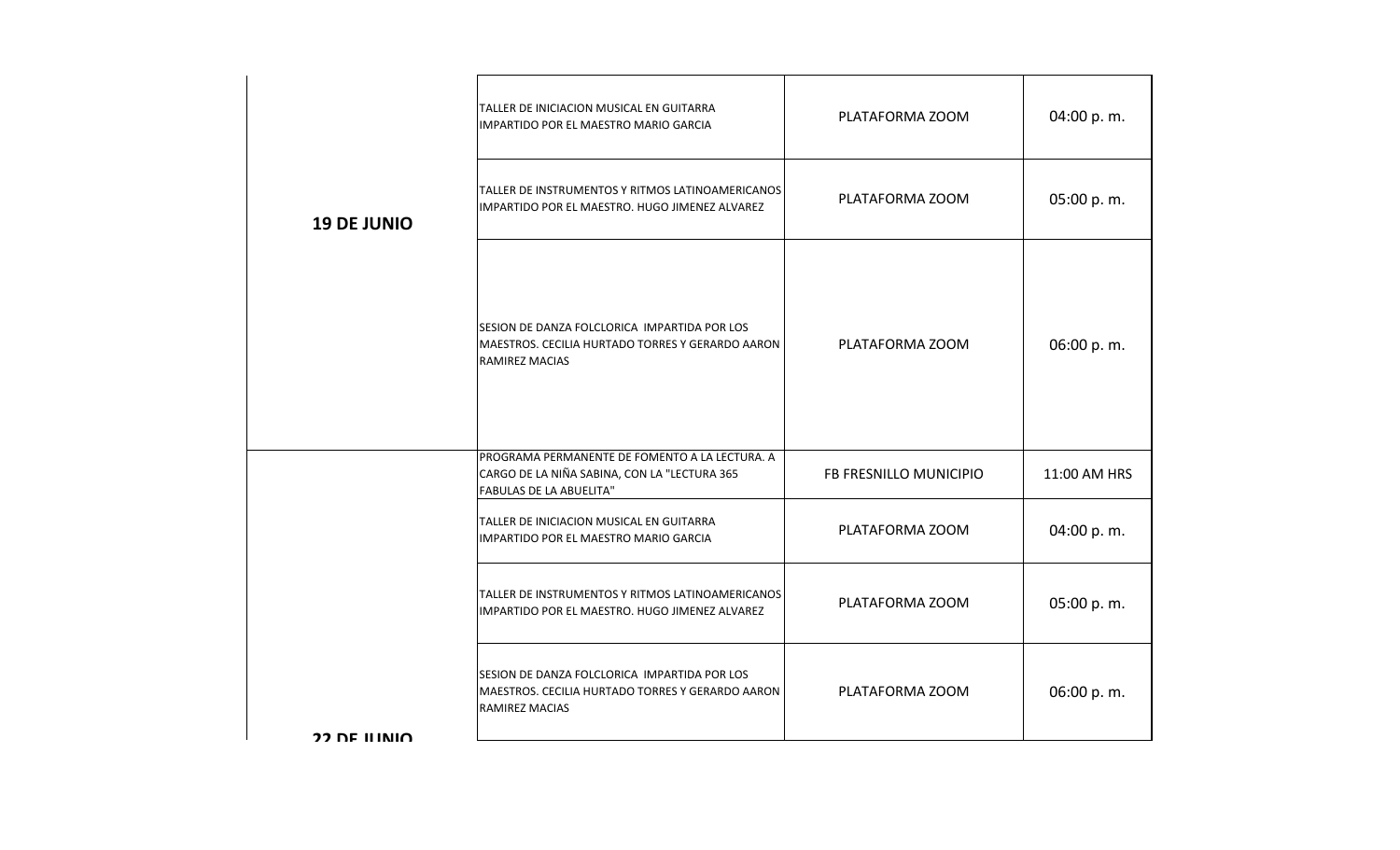| <b>19 DE JUNIO</b> | TALLER DE INICIACION MUSICAL EN GUITARRA<br>IMPARTIDO POR EL MAESTRO MARIO GARCIA                                                | PLATAFORMA ZOOM        | 04:00 p.m.   |
|--------------------|----------------------------------------------------------------------------------------------------------------------------------|------------------------|--------------|
|                    | TALLER DE INSTRUMENTOS Y RITMOS LATINOAMERICANOS<br>IMPARTIDO POR EL MAESTRO. HUGO JIMENEZ ALVAREZ                               | PLATAFORMA ZOOM        | 05:00 p.m.   |
|                    | SESION DE DANZA FOLCLORICA IMPARTIDA POR LOS<br>MAESTROS. CECILIA HURTADO TORRES Y GERARDO AARON<br><b>RAMIREZ MACIAS</b>        | PLATAFORMA ZOOM        | 06:00 p.m.   |
|                    | PROGRAMA PERMANENTE DE FOMENTO A LA LECTURA. A<br>CARGO DE LA NIÑA SABINA, CON LA "LECTURA 365<br><b>FABULAS DE LA ABUELITA"</b> | FB FRESNILLO MUNICIPIO | 11:00 AM HRS |
|                    | TALLER DE INICIACION MUSICAL EN GUITARRA<br>IMPARTIDO POR EL MAESTRO MARIO GARCIA                                                | PLATAFORMA ZOOM        | 04:00 p.m.   |
|                    | TALLER DE INSTRUMENTOS Y RITMOS LATINOAMERICANOS<br>IMPARTIDO POR EL MAESTRO. HUGO JIMENEZ ALVAREZ                               | PLATAFORMA ZOOM        | 05:00 p.m.   |
|                    | SESION DE DANZA FOLCLORICA IMPARTIDA POR LOS<br>MAESTROS. CECILIA HURTADO TORRES Y GERARDO AARON<br>RAMIREZ MACIAS               | PLATAFORMA ZOOM        | 06:00 p.m.   |
| $22$ DE ILINIO     |                                                                                                                                  |                        |              |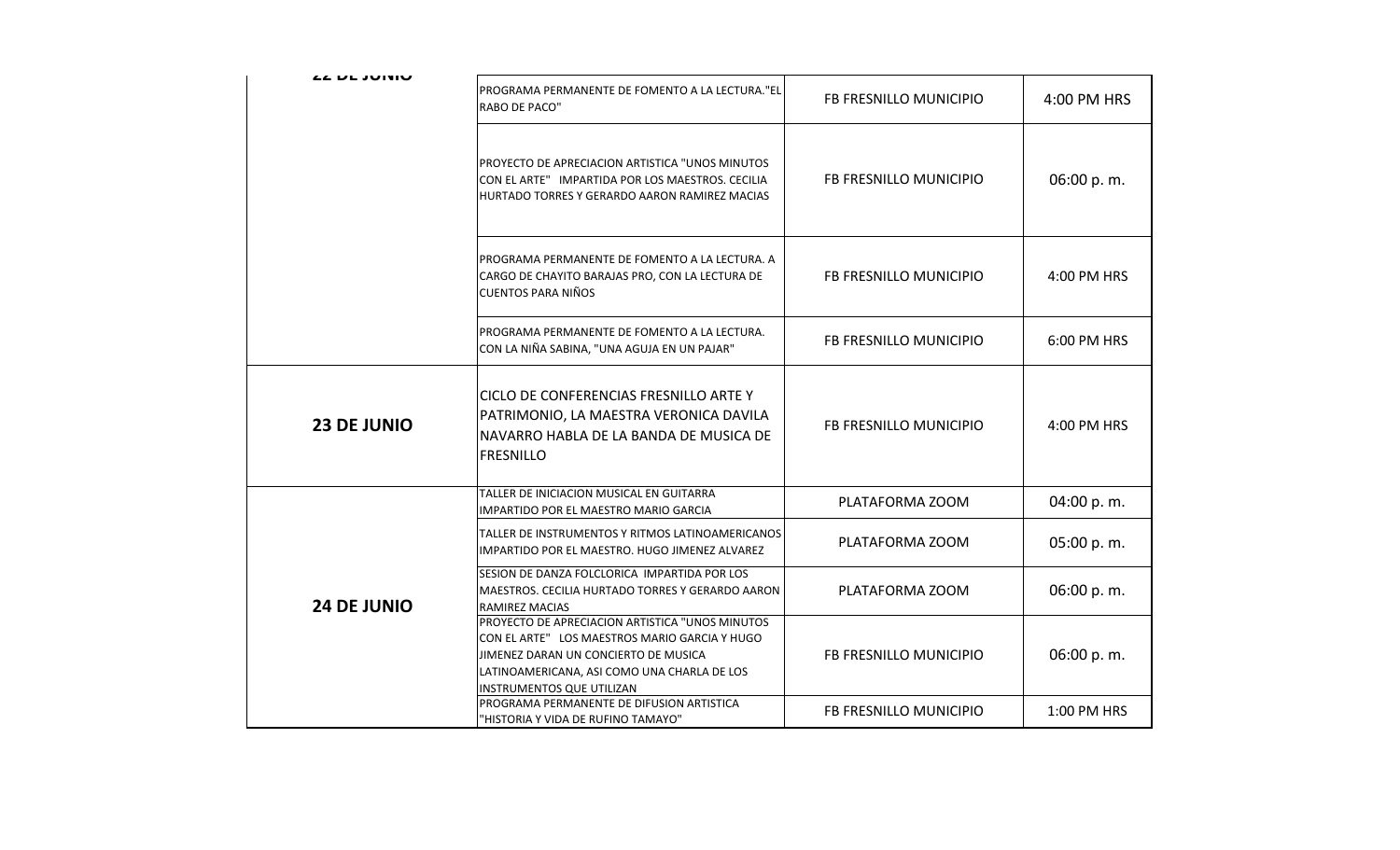| <b>LL UL JUIVIU</b> |                                                                                                                                                                                                                      |                        |             |
|---------------------|----------------------------------------------------------------------------------------------------------------------------------------------------------------------------------------------------------------------|------------------------|-------------|
|                     | PROGRAMA PERMANENTE DE FOMENTO A LA LECTURA."EL<br>RABO DE PACO"                                                                                                                                                     | FB FRESNILLO MUNICIPIO | 4:00 PM HRS |
|                     | PROYECTO DE APRECIACION ARTISTICA "UNOS MINUTOS<br>CON EL ARTE" IMPARTIDA POR LOS MAESTROS. CECILIA<br>HURTADO TORRES Y GERARDO AARON RAMIREZ MACIAS                                                                 | FB FRESNILLO MUNICIPIO | 06:00 p.m.  |
|                     | PROGRAMA PERMANENTE DE FOMENTO A LA LECTURA. A<br>CARGO DE CHAYITO BARAJAS PRO, CON LA LECTURA DE<br>CUENTOS PARA NIÑOS                                                                                              | FB FRESNILLO MUNICIPIO | 4:00 PM HRS |
|                     | PROGRAMA PERMANENTE DE FOMENTO A LA LECTURA.<br>CON LA NIÑA SABINA, "UNA AGUJA EN UN PAJAR"                                                                                                                          | FB FRESNILLO MUNICIPIO | 6:00 PM HRS |
| <b>23 DE JUNIO</b>  | CICLO DE CONFERENCIAS FRESNILLO ARTE Y<br>PATRIMONIO, LA MAESTRA VERONICA DAVILA<br>NAVARRO HABLA DE LA BANDA DE MUSICA DE<br><b>FRESNILLO</b>                                                                       | FB FRESNILLO MUNICIPIO | 4:00 PM HRS |
|                     | TALLER DE INICIACION MUSICAL EN GUITARRA<br>IMPARTIDO POR EL MAESTRO MARIO GARCIA                                                                                                                                    | PLATAFORMA ZOOM        | 04:00 p.m.  |
|                     | TALLER DE INSTRUMENTOS Y RITMOS LATINOAMERICANOS<br>IMPARTIDO POR EL MAESTRO. HUGO JIMENEZ ALVAREZ                                                                                                                   | PLATAFORMA ZOOM        | 05:00 p.m.  |
| <b>24 DE JUNIO</b>  | SESION DE DANZA FOLCLORICA IMPARTIDA POR LOS<br>MAESTROS. CECILIA HURTADO TORRES Y GERARDO AARON<br>RAMIREZ MACIAS                                                                                                   | PLATAFORMA ZOOM        | 06:00 p.m.  |
|                     | PROYECTO DE APRECIACION ARTISTICA "UNOS MINUTOS<br>CON EL ARTE" LOS MAESTROS MARIO GARCIA Y HUGO<br>JIMENEZ DARAN UN CONCIERTO DE MUSICA<br>LATINOAMERICANA, ASI COMO UNA CHARLA DE LOS<br>INSTRUMENTOS QUE UTILIZAN | FB FRESNILLO MUNICIPIO | 06:00 p.m.  |
|                     | PROGRAMA PERMANENTE DE DIFUSION ARTISTICA<br>"HISTORIA Y VIDA DE RUFINO TAMAYO"                                                                                                                                      | FB FRESNILLO MUNICIPIO | 1:00 PM HRS |